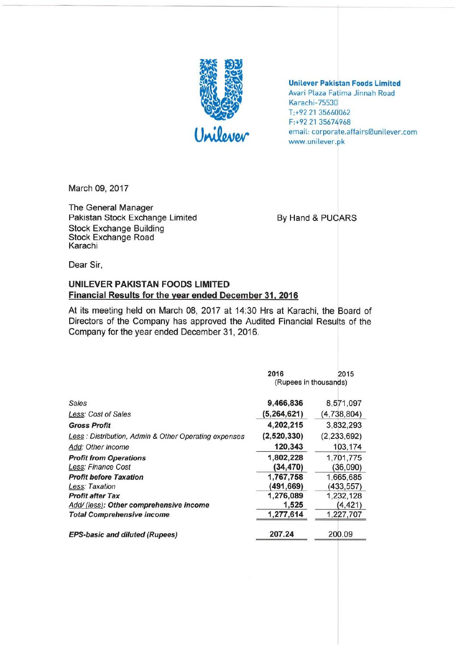

**Unilever Pakistan Foods Limited Avar! Plaza Fatima Jinnah Road Karachi -75530 T;+92 21 35660062 F:+92 21 35674968 email: corporate.affairslaunilever.com**  www.unilever.pk

March 09, 2017

**The General Manager**  Pakistan Stock Exchange Limited **By Hand & PUCARS** Stock Exchange Building **Stock Exchange Road Karachi** 

**Dear Sir,** 

### UNILEVER PAKISTAN FOODS LIMITED **Financial Results for the year ended December 31, 2016**

At its meeting held on March 08, 2017 at 14:30 Hrs at Karachi, the Board of **Directors of the Company has approved the Audited Financial Results of the**  Company for the year ended December 31, 2016.

|                                                      | 2016                  | 2015          |
|------------------------------------------------------|-----------------------|---------------|
|                                                      | (Rupees in thousands) |               |
| Sales                                                | 9,466,836             | 8,571,097     |
| Less: Cost of Sales                                  | (5,264,621)           | (4,738,804)   |
| <b>Gross Profit</b>                                  | 4,202,215             | 3,832,293     |
| Less: Distribution, Admin & Other Operating expenses | (2,520,330)           | (2, 233, 692) |
| Add: Other Income                                    | 120,343               | 103,174       |
| <b>Profit from Operations</b>                        | 1,802,228             | 1,701,775     |
| Less: Finance Cost                                   | (34,470)              | (36,090)      |
| <b>Profit before Taxation</b>                        | 1,767,758             | 1,665,685     |
| Less: Taxation                                       | (491,669)             | (433,557)     |
| <b>Profit after Tax</b>                              | 1,276,089             | 1,232,128     |
| Add/ (less): Other comprehensive income              | 1,525                 | (4, 421)      |
| <b>Total Comprehensive income</b>                    | 1,277,614             | 1,227,707     |
| <b>EPS-basic and diluted (Rupees)</b>                | 207.24                | 200.09        |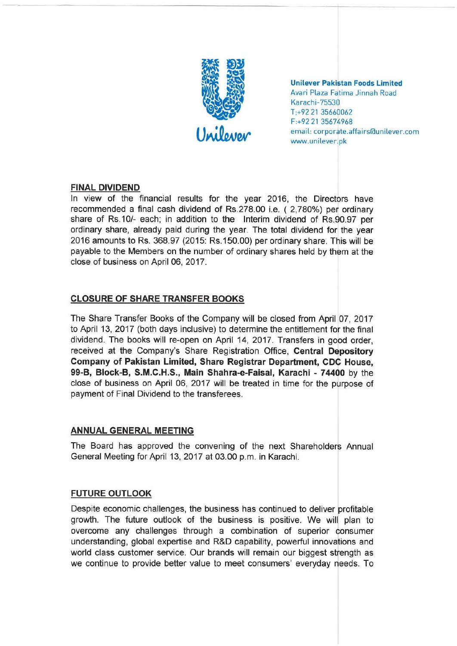

Unilever Pakistan Foods limited Avari Plaza Fatima Jinnah Road Karachi-75530 T,+92 21 35660062 F:+92 21 35674968 email: corporate.affairs@unilever.com www.unilever.pk

### FINAL DIVIDEND

In view of the financial results for the year 2016, the Directors have recommended a final cash dividend of Rs.278.00 i.e. ( 2,780%) per ordinary share of RS.10/- each; in addition to the Interim dividend of RS.90.97 per ordinary share, already paid during the year. The total dividend for the year 2016 amounts to Rs. 368.97 (2015: Rs.150.00) per ordinary share. This will be payable to the Members on the number of ordinary shares held by them at the close of business on April 06, 2017.

# CLOSURE OF SHARE TRANSFER BOOKS

The Share Transfer Books of the Company will be closed from April 07, 2017 to April 13, 2017 (both days inclusive) to determine the entitlement for the final dividend. The books will re-open on April 14, 2017. Transfers in good order, received at the Company's Share Registration Office, Central Depository Company of Pakistan Limited, Share Registrar Department, CDC House, 99-B, Block-B, S.M.C.H.S., Main Shahra-e-Faisal, Karachi - 74400 by the close of business on April 06, 2017 will be treated in time for the purpose of payment of Final Dividend to the transferees.

## ANNUAL GENERAL MEETING

The Board has approved the convening of the next Shareholders Annual General Meeting for April 13, 2017 at 03.00 p.m. in Karachi.

## FUTURE OUTLOOK

Despite economic challenges, the business has continued to deliver profitable growth. The future outlook of the business is positive. We will plan to overcome any challenges through a combination of superior consumer understanding, global expertise and R&D capability, powerful innovations and world class customer service. Our brands will remain our biggest strength as we continue to provide better value to meet consumers' everyday needs. To